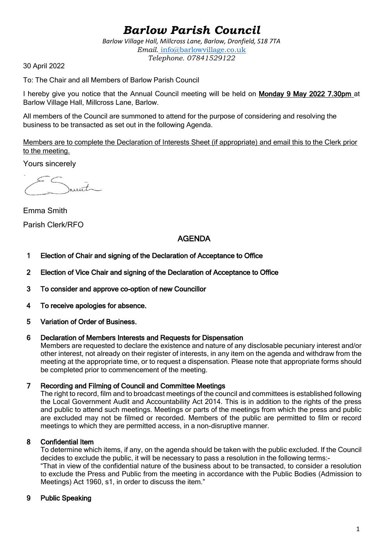# *Barlow Parish Council*

*Barlow Village Hall, Millcross Lane, Barlow, Dronfield, S18 7TA Email.* info@barlowvillage.co.uk *Telephone. 07841529122*

30 April 2022

To: The Chair and all Members of Barlow Parish Council

I hereby give you notice that the Annual Council meeting will be held on Monday 9 May 2022 7.30pm at Barlow Village Hall, Millcross Lane, Barlow.

All members of the Council are summoned to attend for the purpose of considering and resolving the business to be transacted as set out in the following Agenda.

Members are to complete the Declaration of Interests Sheet (if appropriate) and email this to the Clerk prior to the meeting.

Yours sincerely

unt.

Emma Smith Parish Clerk/RFO

# AGENDA

- 1 Election of Chair and signing of the Declaration of Acceptance to Office
- 2 Election of Vice Chair and signing of the Declaration of Acceptance to Office
- 3 To consider and approve co-option of new Councillor
- 4 To receive apologies for absence.
- 5 Variation of Order of Business.

#### 6 Declaration of Members Interests and Requests for Dispensation

Members are requested to declare the existence and nature of any disclosable pecuniary interest and/or other interest, not already on their register of interests, in any item on the agenda and withdraw from the meeting at the appropriate time, or to request a dispensation. Please note that appropriate forms should be completed prior to commencement of the meeting.

#### 7 Recording and Filming of Council and Committee Meetings

The right to record, film and to broadcast meetings of the council and committees is established following the Local Government Audit and Accountability Act 2014. This is in addition to the rights of the press and public to attend such meetings. Meetings or parts of the meetings from which the press and public are excluded may not be filmed or recorded. Members of the public are permitted to film or record meetings to which they are permitted access, in a non-disruptive manner.

#### 8 Confidential Item

To determine which items, if any, on the agenda should be taken with the public excluded. If the Council decides to exclude the public, it will be necessary to pass a resolution in the following terms:- "That in view of the confidential nature of the business about to be transacted, to consider a resolution

to exclude the Press and Public from the meeting in accordance with the Public Bodies (Admission to Meetings) Act 1960, s1, in order to discuss the item."

#### 9 Public Speaking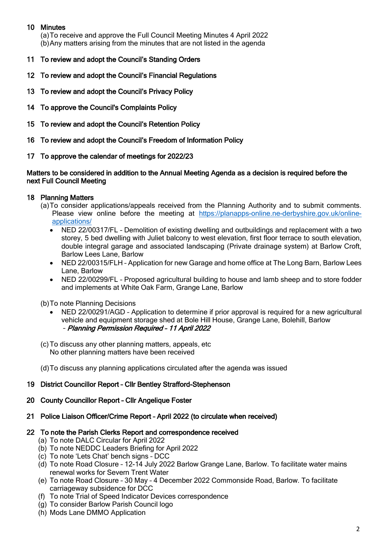# 10 Minutes

(a)To receive and approve the Full Council Meeting Minutes 4 April 2022 (b)Any matters arising from the minutes that are not listed in the agenda

- 11 To review and adopt the Council's Standing Orders
- 12 To review and adopt the Council's Financial Regulations
- 13 To review and adopt the Council's Privacy Policy
- 14 To approve the Council's Complaints Policy
- 15 To review and adopt the Council's Retention Policy
- 16 To review and adopt the Council's Freedom of Information Policy
- 17 To approve the calendar of meetings for 2022/23

#### Matters to be considered in addition to the Annual Meeting Agenda as a decision is required before the next Full Council Meeting

# 18 Planning Matters

- (a)To consider applications/appeals received from the Planning Authority and to submit comments. Please view online before the meeting at [https://planapps-online.ne-derbyshire.gov.uk/online](https://planapps-online.ne-derbyshire.gov.uk/online-applications/)[applications/](https://planapps-online.ne-derbyshire.gov.uk/online-applications/)
	- NED 22/00317/FL Demolition of existing dwelling and outbuildings and replacement with a two storey, 5 bed dwelling with Juliet balcony to west elevation, first floor terrace to south elevation, double integral garage and associated landscaping (Private drainage system) at Barlow Croft, Barlow Lees Lane, Barlow
	- NED 22/00315/FLH Application for new Garage and home office at The Long Barn, Barlow Lees Lane, Barlow
	- NED 22/00299/FL Proposed agricultural building to house and lamb sheep and to store fodder and implements at White Oak Farm, Grange Lane, Barlow

(b)To note Planning Decisions

- NED 22/00291/AGD Application to determine if prior approval is required for a new agricultural vehicle and equipment storage shed at Bole Hill House, Grange Lane, Bolehill, Barlow – Planning Permission Required – 11 April 2022
- (c)To discuss any other planning matters, appeals, etc No other planning matters have been received

(d)To discuss any planning applications circulated after the agenda was issued

#### 19 District Councillor Report – Cllr Bentley Strafford-Stephenson

#### 20 County Councillor Report – Cllr Angelique Foster

#### 21 Police Liaison Officer/Crime Report – April 2022 (to circulate when received)

#### 22 To note the Parish Clerks Report and correspondence received

- (a) To note DALC Circular for April 2022
- (b) To note NEDDC Leaders Briefing for April 2022
- (c) To note 'Lets Chat' bench signs DCC
- (d) To note Road Closure 12-14 July 2022 Barlow Grange Lane, Barlow. To facilitate water mains renewal works for Severn Trent Water
- (e) To note Road Closure 30 May 4 December 2022 Commonside Road, Barlow. To facilitate carriageway subsidence for DCC
- (f) To note Trial of Speed Indicator Devices correspondence
- (g) To consider Barlow Parish Council logo
- (h) Mods Lane DMMO Application